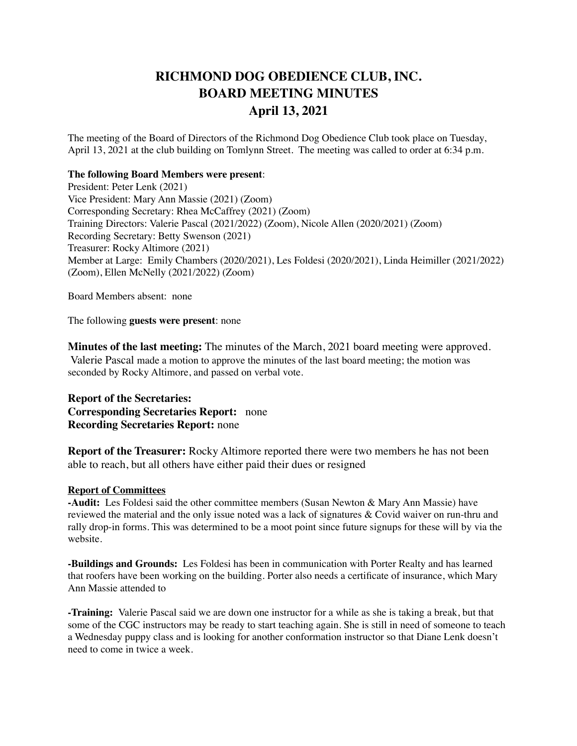## **RICHMOND DOG OBEDIENCE CLUB, INC. BOARD MEETING MINUTES April 13, 2021**

The meeting of the Board of Directors of the Richmond Dog Obedience Club took place on Tuesday, April 13, 2021 at the club building on Tomlynn Street. The meeting was called to order at 6:34 p.m.

## **The following Board Members were present**:

President: Peter Lenk (2021) Vice President: Mary Ann Massie (2021) (Zoom) Corresponding Secretary: Rhea McCaffrey (2021) (Zoom) Training Directors: Valerie Pascal (2021/2022) (Zoom), Nicole Allen (2020/2021) (Zoom) Recording Secretary: Betty Swenson (2021) Treasurer: Rocky Altimore (2021) Member at Large: Emily Chambers (2020/2021), Les Foldesi (2020/2021), Linda Heimiller (2021/2022) (Zoom), Ellen McNelly (2021/2022) (Zoom)

Board Members absent: none

The following **guests were present**: none

**Minutes of the last meeting:** The minutes of the March, 2021 board meeting were approved. Valerie Pascal made a motion to approve the minutes of the last board meeting; the motion was seconded by Rocky Altimore, and passed on verbal vote.

**Report of the Secretaries: Corresponding Secretaries Report:** none **Recording Secretaries Report:** none

**Report of the Treasurer:** Rocky Altimore reported there were two members he has not been able to reach, but all others have either paid their dues or resigned

## **Report of Committees**

**-Audit:** Les Foldesi said the other committee members (Susan Newton & Mary Ann Massie) have reviewed the material and the only issue noted was a lack of signatures & Covid waiver on run-thru and rally drop-in forms. This was determined to be a moot point since future signups for these will by via the website.

**-Buildings and Grounds:** Les Foldesi has been in communication with Porter Realty and has learned that roofers have been working on the building. Porter also needs a certificate of insurance, which Mary Ann Massie attended to

**-Training:** Valerie Pascal said we are down one instructor for a while as she is taking a break, but that some of the CGC instructors may be ready to start teaching again. She is still in need of someone to teach a Wednesday puppy class and is looking for another conformation instructor so that Diane Lenk doesn't need to come in twice a week.